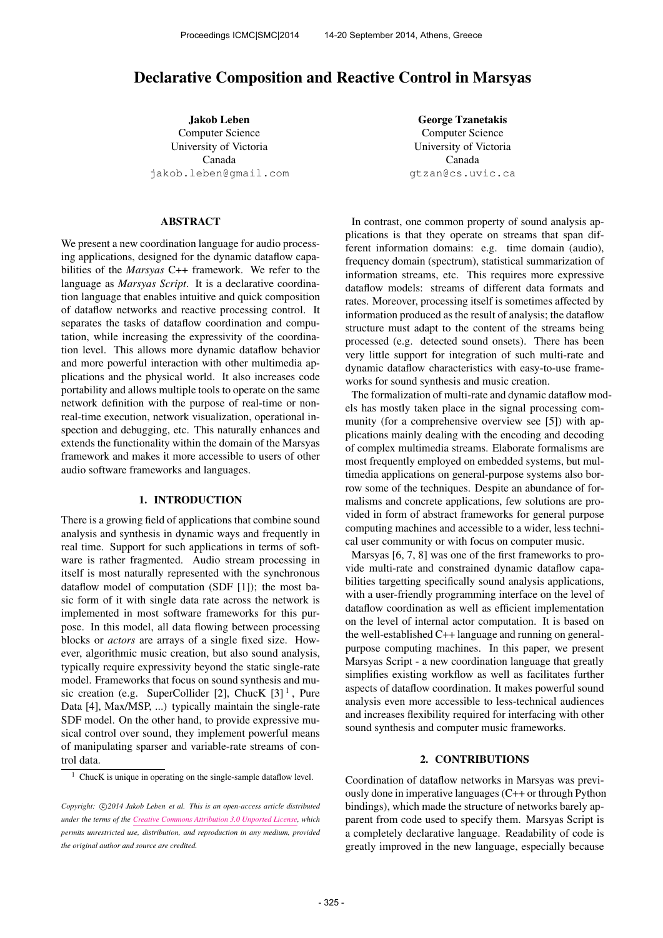# Declarative Composition and Reactive Control in Marsyas

Jakob Leben Computer Science University of Victoria Canada [jakob.leben@gmail.com](mailto:jakob.leben@gmail.com)

# ABSTRACT

We present a new coordination language for audio processing applications, designed for the dynamic dataflow capabilities of the *Marsyas* C++ framework. We refer to the language as *Marsyas Script*. It is a declarative coordination language that enables intuitive and quick composition of dataflow networks and reactive processing control. It separates the tasks of dataflow coordination and computation, while increasing the expressivity of the coordination level. This allows more dynamic dataflow behavior and more powerful interaction with other multimedia applications and the physical world. It also increases code portability and allows multiple tools to operate on the same network definition with the purpose of real-time or nonreal-time execution, network visualization, operational inspection and debugging, etc. This naturally enhances and extends the functionality within the domain of the Marsyas framework and makes it more accessible to users of other audio software frameworks and languages.

#### 1. INTRODUCTION

There is a growing field of applications that combine sound analysis and synthesis in dynamic ways and frequently in real time. Support for such applications in terms of software is rather fragmented. Audio stream processing in itself is most naturally represented with the synchronous dataflow model of computation (SDF [1]); the most basic form of it with single data rate across the network is implemented in most software frameworks for this purpose. In this model, all data flowing between processing blocks or *actors* are arrays of a single fixed size. However, algorithmic music creation, but also sound analysis, typically require expressivity beyond the static single-rate model. Frameworks that focus on sound synthesis and music creation (e.g. SuperCollider [2], ChucK  $[3]$ <sup>1</sup>, Pure Data [4], Max/MSP, ...) typically maintain the single-rate SDF model. On the other hand, to provide expressive musical control over sound, they implement powerful means of manipulating sparser and variable-rate streams of control data.

George Tzanetakis Computer Science University of Victoria Canada [gtzan@cs.uvic.ca](mailto:gtzan@cs.uvic.ca)

In contrast, one common property of sound analysis applications is that they operate on streams that span different information domains: e.g. time domain (audio), frequency domain (spectrum), statistical summarization of information streams, etc. This requires more expressive dataflow models: streams of different data formats and rates. Moreover, processing itself is sometimes affected by information produced as the result of analysis; the dataflow structure must adapt to the content of the streams being processed (e.g. detected sound onsets). There has been very little support for integration of such multi-rate and dynamic dataflow characteristics with easy-to-use frameworks for sound synthesis and music creation.

The formalization of multi-rate and dynamic dataflow models has mostly taken place in the signal processing community (for a comprehensive overview see [5]) with applications mainly dealing with the encoding and decoding of complex multimedia streams. Elaborate formalisms are most frequently employed on embedded systems, but multimedia applications on general-purpose systems also borrow some of the techniques. Despite an abundance of formalisms and concrete applications, few solutions are provided in form of abstract frameworks for general purpose computing machines and accessible to a wider, less technical user community or with focus on computer music.

Marsyas [6, 7, 8] was one of the first frameworks to provide multi-rate and constrained dynamic dataflow capabilities targetting specifically sound analysis applications, with a user-friendly programming interface on the level of dataflow coordination as well as efficient implementation on the level of internal actor computation. It is based on the well-established C++ language and running on generalpurpose computing machines. In this paper, we present Marsyas Script - a new coordination language that greatly simplifies existing workflow as well as facilitates further aspects of dataflow coordination. It makes powerful sound analysis even more accessible to less-technical audiences and increases flexibility required for interfacing with other sound synthesis and computer music frameworks.

#### 2. CONTRIBUTIONS

Coordination of dataflow networks in Marsyas was previously done in imperative languages (C++ or through Python bindings), which made the structure of networks barely apparent from code used to specify them. Marsyas Script is a completely declarative language. Readability of code is greatly improved in the new language, especially because

 $1$  ChucK is unique in operating on the single-sample dataflow level.

Copyright:  $\bigcirc$ 2014 Jakob Leben et al. This is an open-access article distributed *under the terms of the [Creative Commons Attribution 3.0 Unported License,](http://creativecommons.org/licenses/by/3.0/) which permits unrestricted use, distribution, and reproduction in any medium, provided the original author and source are credited.*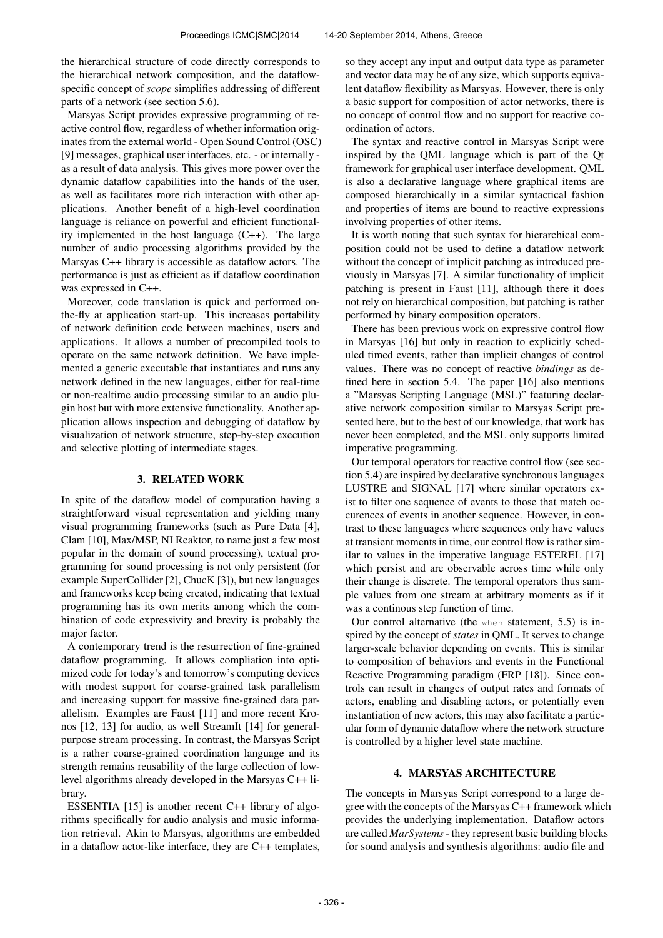the hierarchical structure of code directly corresponds to the hierarchical network composition, and the dataflowspecific concept of *scope* simplifies addressing of different parts of a network (see section 5.6).

Marsyas Script provides expressive programming of reactive control flow, regardless of whether information originates from the external world - Open Sound Control (OSC) [9] messages, graphical user interfaces, etc. - or internally as a result of data analysis. This gives more power over the dynamic dataflow capabilities into the hands of the user, as well as facilitates more rich interaction with other applications. Another benefit of a high-level coordination language is reliance on powerful and efficient functionality implemented in the host language (C++). The large number of audio processing algorithms provided by the Marsyas C++ library is accessible as dataflow actors. The performance is just as efficient as if dataflow coordination was expressed in C++.

Moreover, code translation is quick and performed onthe-fly at application start-up. This increases portability of network definition code between machines, users and applications. It allows a number of precompiled tools to operate on the same network definition. We have implemented a generic executable that instantiates and runs any network defined in the new languages, either for real-time or non-realtime audio processing similar to an audio plugin host but with more extensive functionality. Another application allows inspection and debugging of dataflow by visualization of network structure, step-by-step execution and selective plotting of intermediate stages.

## 3. RELATED WORK

In spite of the dataflow model of computation having a straightforward visual representation and yielding many visual programming frameworks (such as Pure Data [4], Clam [10], Max/MSP, NI Reaktor, to name just a few most popular in the domain of sound processing), textual programming for sound processing is not only persistent (for example SuperCollider [2], ChucK [3]), but new languages and frameworks keep being created, indicating that textual programming has its own merits among which the combination of code expressivity and brevity is probably the major factor.

A contemporary trend is the resurrection of fine-grained dataflow programming. It allows compliation into optimized code for today's and tomorrow's computing devices with modest support for coarse-grained task parallelism and increasing support for massive fine-grained data parallelism. Examples are Faust [11] and more recent Kronos [12, 13] for audio, as well StreamIt [14] for generalpurpose stream processing. In contrast, the Marsyas Script is a rather coarse-grained coordination language and its strength remains reusability of the large collection of lowlevel algorithms already developed in the Marsyas C++ library.

ESSENTIA [15] is another recent C++ library of algorithms specifically for audio analysis and music information retrieval. Akin to Marsyas, algorithms are embedded in a dataflow actor-like interface, they are C++ templates, so they accept any input and output data type as parameter and vector data may be of any size, which supports equivalent dataflow flexibility as Marsyas. However, there is only a basic support for composition of actor networks, there is no concept of control flow and no support for reactive coordination of actors.

The syntax and reactive control in Marsyas Script were inspired by the QML language which is part of the Qt framework for graphical user interface development. QML is also a declarative language where graphical items are composed hierarchically in a similar syntactical fashion and properties of items are bound to reactive expressions involving properties of other items.

It is worth noting that such syntax for hierarchical composition could not be used to define a dataflow network without the concept of implicit patching as introduced previously in Marsyas [7]. A similar functionality of implicit patching is present in Faust [11], although there it does not rely on hierarchical composition, but patching is rather performed by binary composition operators.

There has been previous work on expressive control flow in Marsyas [16] but only in reaction to explicitly scheduled timed events, rather than implicit changes of control values. There was no concept of reactive *bindings* as defined here in section 5.4. The paper [16] also mentions a "Marsyas Scripting Language (MSL)" featuring declarative network composition similar to Marsyas Script presented here, but to the best of our knowledge, that work has never been completed, and the MSL only supports limited imperative programming.

Our temporal operators for reactive control flow (see section 5.4) are inspired by declarative synchronous languages LUSTRE and SIGNAL [17] where similar operators exist to filter one sequence of events to those that match occurences of events in another sequence. However, in contrast to these languages where sequences only have values at transient moments in time, our control flow is rather similar to values in the imperative language ESTEREL [17] which persist and are observable across time while only their change is discrete. The temporal operators thus sample values from one stream at arbitrary moments as if it was a continous step function of time.

Our control alternative (the when statement, 5.5) is inspired by the concept of *states* in QML. It serves to change larger-scale behavior depending on events. This is similar to composition of behaviors and events in the Functional Reactive Programming paradigm (FRP [18]). Since controls can result in changes of output rates and formats of actors, enabling and disabling actors, or potentially even instantiation of new actors, this may also facilitate a particular form of dynamic dataflow where the network structure is controlled by a higher level state machine.

# 4. MARSYAS ARCHITECTURE

The concepts in Marsyas Script correspond to a large degree with the concepts of the Marsyas C++ framework which provides the underlying implementation. Dataflow actors are called *MarSystems*- they represent basic building blocks for sound analysis and synthesis algorithms: audio file and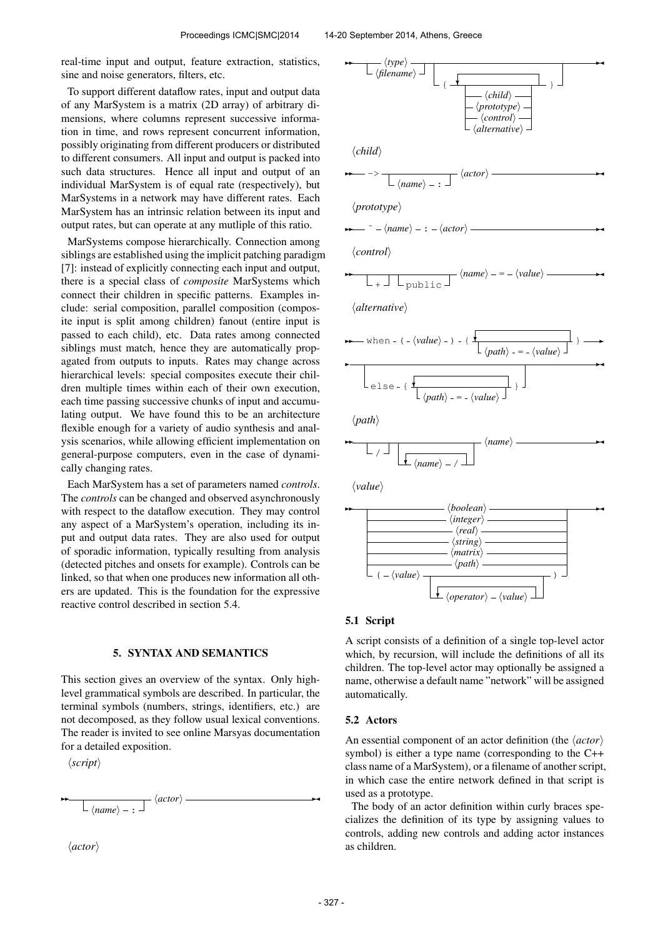real-time input and output, feature extraction, statistics, sine and noise generators, filters, etc.

To support different dataflow rates, input and output data of any MarSystem is a matrix (2D array) of arbitrary dimensions, where columns represent successive information in time, and rows represent concurrent information, possibly originating from different producers or distributed to different consumers. All input and output is packed into such data structures. Hence all input and output of an individual MarSystem is of equal rate (respectively), but MarSystems in a network may have different rates. Each MarSystem has an intrinsic relation between its input and output rates, but can operate at any mutliple of this ratio.

MarSystems compose hierarchically. Connection among siblings are established using the implicit patching paradigm [7]: instead of explicitly connecting each input and output, there is a special class of *composite* MarSystems which connect their children in specific patterns. Examples include: serial composition, parallel composition (composite input is split among children) fanout (entire input is passed to each child), etc. Data rates among connected siblings must match, hence they are automatically propagated from outputs to inputs. Rates may change across hierarchical levels: special composites execute their children multiple times within each of their own execution, each time passing successive chunks of input and accumulating output. We have found this to be an architecture flexible enough for a variety of audio synthesis and analysis scenarios, while allowing efficient implementation on general-purpose computers, even in the case of dynamically changing rates.

Each MarSystem has a set of parameters named *controls*. The *controls* can be changed and observed asynchronously with respect to the dataflow execution. They may control any aspect of a MarSystem's operation, including its input and output data rates. They are also used for output of sporadic information, typically resulting from analysis (detected pitches and onsets for example). Controls can be linked, so that when one produces new information all others are updated. This is the foundation for the expressive reactive control described in section 5.4.

# 5. SYNTAX AND SEMANTICS

This section gives an overview of the syntax. Only highlevel grammatical symbols are described. In particular, the terminal symbols (numbers, strings, identifiers, etc.) are not decomposed, as they follow usual lexical conventions. The reader is invited to see online Marsyas documentation for a detailed exposition.

 $\langle script \rangle$ 

✲✲

 $\langle name \rangle -$ :  $\langle actor \rangle \longrightarrow$ 

 $\langle actor\rangle$ 



#### 5.1 Script

A script consists of a definition of a single top-level actor which, by recursion, will include the definitions of all its children. The top-level actor may optionally be assigned a name, otherwise a default name "network" will be assigned automatically.

#### 5.2 Actors

An essential component of an actor definition (the *\actor*) symbol) is either a type name (corresponding to the C++ class name of a MarSystem), or a filename of another script, in which case the entire network defined in that script is used as a prototype.

The body of an actor definition within curly braces specializes the definition of its type by assigning values to controls, adding new controls and adding actor instances as children.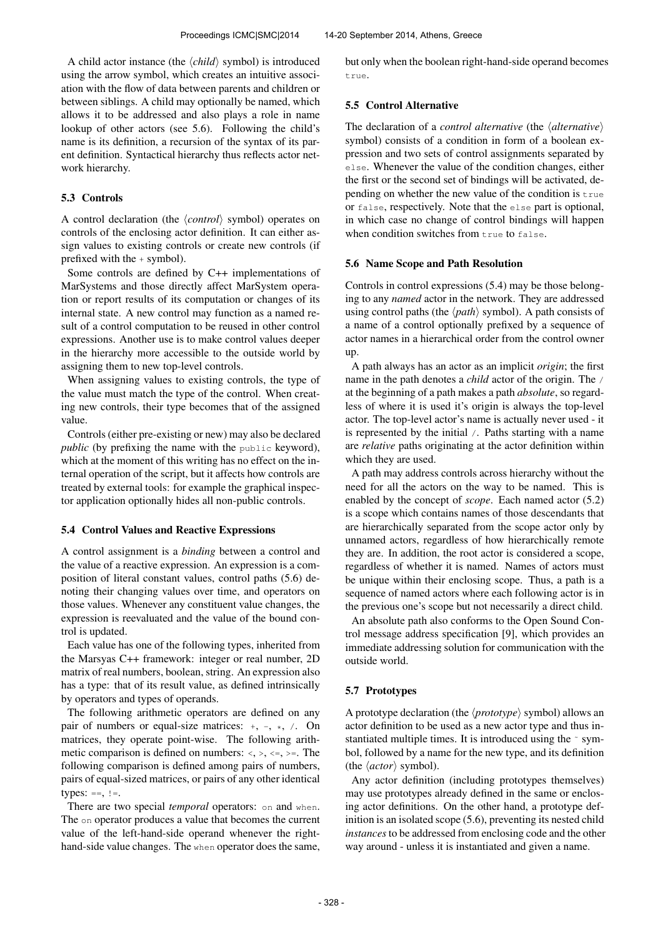A child actor instance (the  $\langle child \rangle$  symbol) is introduced using the arrow symbol, which creates an intuitive association with the flow of data between parents and children or between siblings. A child may optionally be named, which allows it to be addressed and also plays a role in name lookup of other actors (see 5.6). Following the child's name is its definition, a recursion of the syntax of its parent definition. Syntactical hierarchy thus reflects actor network hierarchy.

## 5.3 Controls

A control declaration (the *\control*} symbol) operates on controls of the enclosing actor definition. It can either assign values to existing controls or create new controls (if prefixed with the + symbol).

Some controls are defined by C++ implementations of MarSystems and those directly affect MarSystem operation or report results of its computation or changes of its internal state. A new control may function as a named result of a control computation to be reused in other control expressions. Another use is to make control values deeper in the hierarchy more accessible to the outside world by assigning them to new top-level controls.

When assigning values to existing controls, the type of the value must match the type of the control. When creating new controls, their type becomes that of the assigned value.

Controls (either pre-existing or new) may also be declared *public* (by prefixing the name with the public keyword), which at the moment of this writing has no effect on the internal operation of the script, but it affects how controls are treated by external tools: for example the graphical inspector application optionally hides all non-public controls.

## 5.4 Control Values and Reactive Expressions

A control assignment is a *binding* between a control and the value of a reactive expression. An expression is a composition of literal constant values, control paths (5.6) denoting their changing values over time, and operators on those values. Whenever any constituent value changes, the expression is reevaluated and the value of the bound control is updated.

Each value has one of the following types, inherited from the Marsyas C++ framework: integer or real number, 2D matrix of real numbers, boolean, string. An expression also has a type: that of its result value, as defined intrinsically by operators and types of operands.

The following arithmetic operators are defined on any pair of numbers or equal-size matrices:  $+, -, *, /.$  On matrices, they operate point-wise. The following arithmetic comparison is defined on numbers:  $\langle \cdot, \cdot, \cdot \rangle =$ . The following comparison is defined among pairs of numbers, pairs of equal-sized matrices, or pairs of any other identical types:  $==, !=.$ 

There are two special *temporal* operators: on and when. The on operator produces a value that becomes the current value of the left-hand-side operand whenever the righthand-side value changes. The when operator does the same, but only when the boolean right-hand-side operand becomes true.

## 5.5 Control Alternative

The declaration of a *control alternative* (the  $\langle$  *alternative* $\rangle$ symbol) consists of a condition in form of a boolean expression and two sets of control assignments separated by else. Whenever the value of the condition changes, either the first or the second set of bindings will be activated, depending on whether the new value of the condition is true or false, respectively. Note that the else part is optional, in which case no change of control bindings will happen when condition switches from true to false.

#### 5.6 Name Scope and Path Resolution

Controls in control expressions (5.4) may be those belonging to any *named* actor in the network. They are addressed using control paths (the  $\langle path \rangle$  symbol). A path consists of a name of a control optionally prefixed by a sequence of actor names in a hierarchical order from the control owner up.

A path always has an actor as an implicit *origin*; the first name in the path denotes a *child* actor of the origin. The / at the beginning of a path makes a path *absolute*, so regardless of where it is used it's origin is always the top-level actor. The top-level actor's name is actually never used - it is represented by the initial /. Paths starting with a name are *relative* paths originating at the actor definition within which they are used.

A path may address controls across hierarchy without the need for all the actors on the way to be named. This is enabled by the concept of *scope*. Each named actor (5.2) is a scope which contains names of those descendants that are hierarchically separated from the scope actor only by unnamed actors, regardless of how hierarchically remote they are. In addition, the root actor is considered a scope, regardless of whether it is named. Names of actors must be unique within their enclosing scope. Thus, a path is a sequence of named actors where each following actor is in the previous one's scope but not necessarily a direct child.

An absolute path also conforms to the Open Sound Control message address specification [9], which provides an immediate addressing solution for communication with the outside world.

## 5.7 Prototypes

A prototype declaration (the  $\langle$ *prototype* $\rangle$  symbol) allows an actor definition to be used as a new actor type and thus instantiated multiple times. It is introduced using the ~ symbol, followed by a name for the new type, and its definition (the  $\langle actor \rangle$  symbol).

Any actor definition (including prototypes themselves) may use prototypes already defined in the same or enclosing actor definitions. On the other hand, a prototype definition is an isolated scope (5.6), preventing its nested child *instances*to be addressed from enclosing code and the other way around - unless it is instantiated and given a name.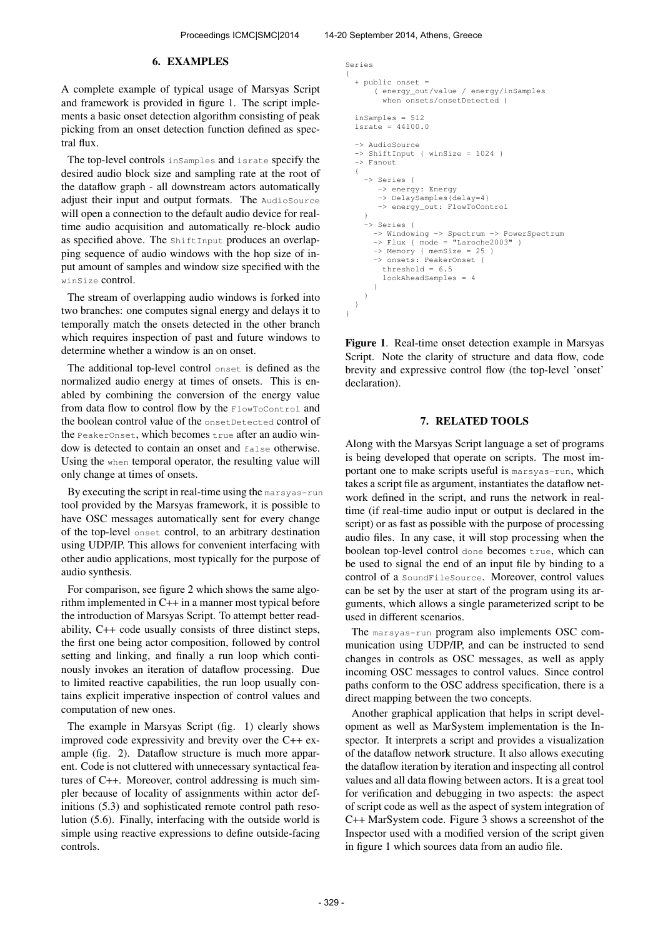## 6. EXAMPLES

A complete example of typical usage of Marsyas Script and framework is provided in figure 1. The script implements a basic onset detection algorithm consisting of peak picking from an onset detection function defined as spectral flux.

The top-level controls inSamples and israte specify the desired audio block size and sampling rate at the root of the dataflow graph - all downstream actors automatically adjust their input and output formats. The AudioSource will open a connection to the default audio device for realtime audio acquisition and automatically re-block audio as specified above. The ShiftInput produces an overlapping sequence of audio windows with the hop size of input amount of samples and window size specified with the winSize control.

The stream of overlapping audio windows is forked into two branches: one computes signal energy and delays it to temporally match the onsets detected in the other branch which requires inspection of past and future windows to determine whether a window is an on onset.

The additional top-level control onset is defined as the normalized audio energy at times of onsets. This is enabled by combining the conversion of the energy value from data flow to control flow by the FlowToControl and the boolean control value of the onsetDetected control of the PeakerOnset, which becomes  $true$  after an audio window is detected to contain an onset and false otherwise. Using the when temporal operator, the resulting value will only change at times of onsets.

By executing the script in real-time using the marsyas-run tool provided by the Marsyas framework, it is possible to have OSC messages automatically sent for every change of the top-level onset control, to an arbitrary destination using UDP/IP. This allows for convenient interfacing with other audio applications, most typically for the purpose of audio synthesis.

For comparison, see figure 2 which shows the same algorithm implemented in C++ in a manner most typical before the introduction of Marsyas Script. To attempt better readability, C++ code usually consists of three distinct steps, the first one being actor composition, followed by control setting and linking, and finally a run loop which continously invokes an iteration of dataflow processing. Due to limited reactive capabilities, the run loop usually contains explicit imperative inspection of control values and computation of new ones.

The example in Marsyas Script (fig. 1) clearly shows improved code expressivity and brevity over the C++ example (fig. 2). Dataflow structure is much more apparent. Code is not cluttered with unnecessary syntactical features of C++. Moreover, control addressing is much simpler because of locality of assignments within actor definitions (5.3) and sophisticated remote control path resolution (5.6). Finally, interfacing with the outside world is simple using reactive expressions to define outside-facing controls.

```
Series
{
  + public onset =
      ( energy_out/value / energy/inSamples
        when onsets/onsetDetected )
  inSamples = 512
  israte = 44100.0
  -> AudioSource
  -> ShiftInput { winSize = 1024 }
  -> Fanout
  {
    -> Series {
       -> energy: Energy
       -> DelaySamples{delay=4}
       -> energy_out: FlowToControl
    }
    -> Series {
      -> Windowing -> Spectrum -> PowerSpectrum
      \Rightarrow Flux { mode = "Laroche2003" }
      -> Memory { memSize = 25 }
-> onsets: PeakerOnset {
        threshold = 6.5lookAheadSamples = 4
      }
    }
  }
}
```
Figure 1. Real-time onset detection example in Marsyas Script. Note the clarity of structure and data flow, code brevity and expressive control flow (the top-level 'onset' declaration).

## 7. RELATED TOOLS

Along with the Marsyas Script language a set of programs is being developed that operate on scripts. The most important one to make scripts useful is marsyas-run, which takes a script file as argument, instantiates the dataflow network defined in the script, and runs the network in realtime (if real-time audio input or output is declared in the script) or as fast as possible with the purpose of processing audio files. In any case, it will stop processing when the boolean top-level control done becomes true, which can be used to signal the end of an input file by binding to a control of a SoundFileSource. Moreover, control values can be set by the user at start of the program using its arguments, which allows a single parameterized script to be used in different scenarios.

The marsyas-run program also implements OSC communication using UDP/IP, and can be instructed to send changes in controls as OSC messages, as well as apply incoming OSC messages to control values. Since control paths conform to the OSC address specification, there is a direct mapping between the two concepts.

Another graphical application that helps in script development as well as MarSystem implementation is the Inspector. It interprets a script and provides a visualization of the dataflow network structure. It also allows executing the dataflow iteration by iteration and inspecting all control values and all data flowing between actors. It is a great tool for verification and debugging in two aspects: the aspect of script code as well as the aspect of system integration of C++ MarSystem code. Figure 3 shows a screenshot of the Inspector used with a modified version of the script given in figure 1 which sources data from an audio file.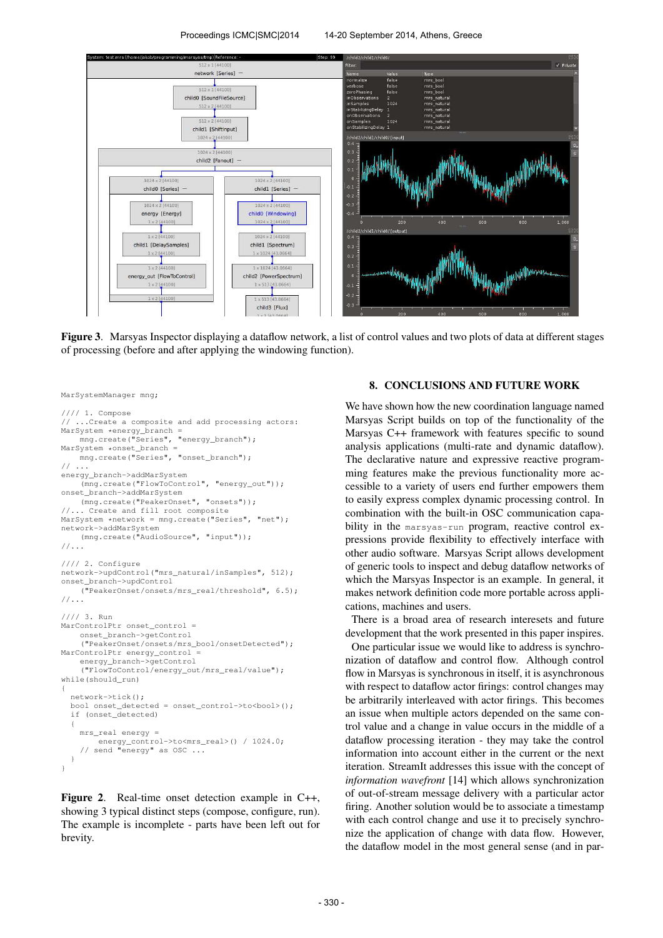

Figure 3. Marsyas Inspector displaying a dataflow network, a list of control values and two plots of data at different stages of processing (before and after applying the windowing function).

```
MarSystemManager mng;
```

```
//// 1. Compose
   ...Create a composite and add processing actors:
MarSystem *energy_branch =
    mng.create("Series", "energy_branch");
MarSystem *onset_branch =
    mng.create("Series", "onset_branch");
// ...
energy_branch->addMarSystem
    (mng.create("FlowToControl", "energy_out"));
onset_branch->addMarSystem
    (mng.create("PeakerOnset", "onsets"));
//... Create and fill root composite
MarSystem *network = mng.create("Series", "net");
network->addMarSystem
    (mng.create("AudioSource", "input"));
//...
//// 2. Configure
network->updControl("mrs_natural/inSamples", 512);
onset_branch->updControl
    ("PeakerOnset/onsets/mrs_real/threshold", 6.5);
//...
//// 3. Run
MarControlPtr onset control =
    onset_branch->getControl
    ("PeakerOnset/onsets/mrs_bool/onsetDetected");
MarControlPtr energy_control =
    energy_branch->getControl
    ("FlowToControl/energy_out/mrs_real/value");
while(should_run)
{
  network->tick();
  bool onset_detected = onset_control->to<bool>();
  if (onset_detected)
  {
    mrs real energy =
        energy_control->to<mrs_real>() / 1024.0;
    // send "energy" as OSC ...
  }
}
```
Figure 2. Real-time onset detection example in C++, showing 3 typical distinct steps (compose, configure, run). The example is incomplete - parts have been left out for brevity.

# 8. CONCLUSIONS AND FUTURE WORK

We have shown how the new coordination language named Marsyas Script builds on top of the functionality of the Marsyas C++ framework with features specific to sound analysis applications (multi-rate and dynamic dataflow). The declarative nature and expressive reactive programming features make the previous functionality more accessible to a variety of users end further empowers them to easily express complex dynamic processing control. In combination with the built-in OSC communication capability in the marsyas-run program, reactive control expressions provide flexibility to effectively interface with other audio software. Marsyas Script allows development of generic tools to inspect and debug dataflow networks of which the Marsyas Inspector is an example. In general, it makes network definition code more portable across applications, machines and users.

There is a broad area of research interesets and future development that the work presented in this paper inspires.

One particular issue we would like to address is synchronization of dataflow and control flow. Although control flow in Marsyas is synchronous in itself, it is asynchronous with respect to dataflow actor firings: control changes may be arbitrarily interleaved with actor firings. This becomes an issue when multiple actors depended on the same control value and a change in value occurs in the middle of a dataflow processing iteration - they may take the control information into account either in the current or the next iteration. StreamIt addresses this issue with the concept of *information wavefront* [14] which allows synchronization of out-of-stream message delivery with a particular actor firing. Another solution would be to associate a timestamp with each control change and use it to precisely synchronize the application of change with data flow. However, the dataflow model in the most general sense (and in par